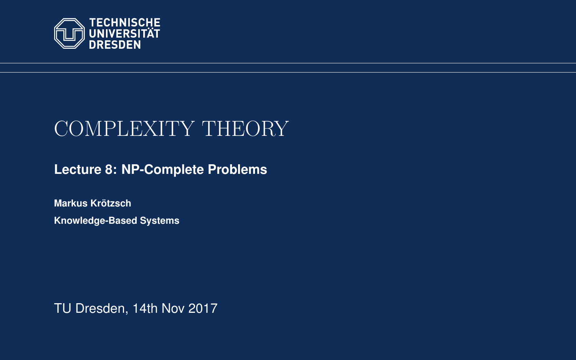<span id="page-0-0"></span>

# COMPLEXITY THEORY

**[Lecture 8: NP-Complete Problems](https://iccl.inf.tu-dresden.de/web/Complexity_Theory_(WS2017/18))**

**[Markus Krotzsch](https://iccl.inf.tu-dresden.de/web/Markus_Kr%C3%B6tzsch/en) ¨ Knowledge-Based Systems**

TU Dresden, 14th Nov 2017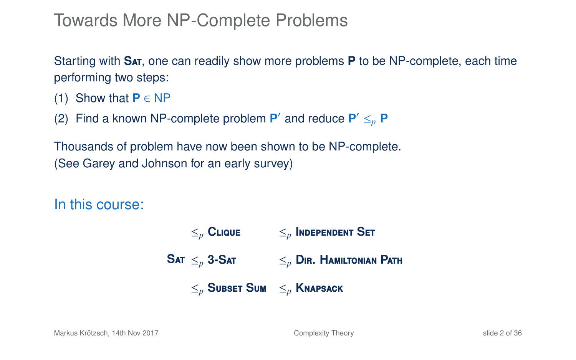### Towards More NP-Complete Problems

Starting with **S**at, one can readily show more problems **P** to be NP-complete, each time performing two steps:

- (1) Show that  $P \in NP$
- (2) Find a known NP-complete problem  $P'$  and reduce  $P' \leq_{p} P$

Thousands of problem have now been shown to be NP-complete. (See Garey and Johnson for an early survey)

In this course:

 $\mathsf{SAT} \leq_n \mathsf{3}\text{-}\mathsf{SAT}$  $\leq_p$  **CLIQUE**  $\leq_p$  **INDEPENDENT SET** ≤*<sup>p</sup>* **3-S**at ≤*<sup>p</sup>* **D**ir**. H**amiltonian **P**ath ≤*<sup>p</sup>* **S**ubset **S**um ≤*<sup>p</sup>* **K**napsack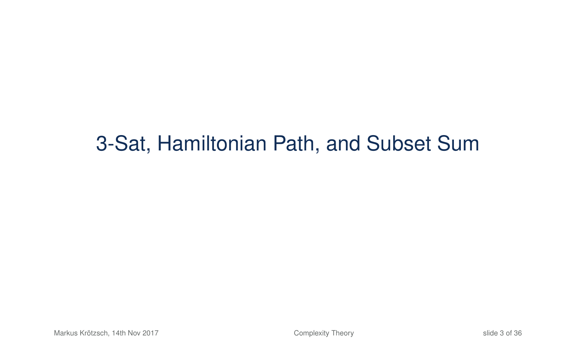## 3-Sat, Hamiltonian Path, and Subset Sum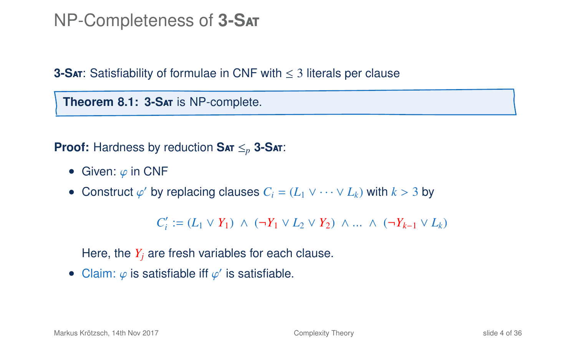#### NP-Completeness of **3-S**at

**3-S<sub>AT</sub>**: Satisfiability of formulae in CNF with ≤ 3 literals per clause

**Theorem 8.1: 3-S**at is NP-complete.

**Proof:** Hardness by reduction **S**at ≤*<sup>p</sup>* **3-S**at:

- Given:  $\varphi$  in CNF
- Construct  $\varphi'$  by replacing clauses  $C_i = (L_1 \vee \cdots \vee L_k)$  with  $k > 3$  by

*C*<sup>'</sup><sub>*i*</sub></sub> := (*L*<sub>1</sub> ∨ *Y*<sub>1</sub>) ∧ (¬*Y*<sub>1</sub> ∨ *L*<sub>2</sub> ∨ *Y*<sub>2</sub>) ∧ ... ∧ (¬*Y*<sub>*k*-1</sub> ∨ *L*<sub>*k*</sub>)

Here, the  $Y_i$  are fresh variables for each clause.

• Claim:  $\varphi$  is satisfiable iff  $\varphi'$  is satisfiable.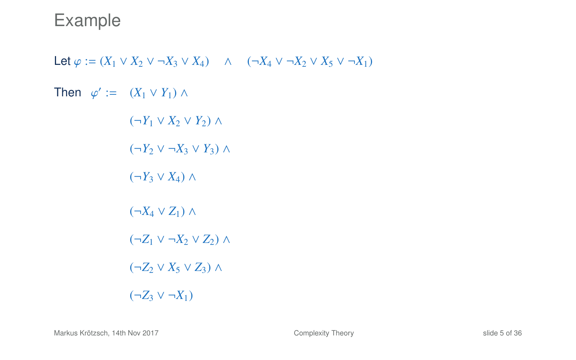Let  $\varphi := (X_1 \vee X_2 \vee \neg X_3 \vee X_4) \wedge (\neg X_4 \vee \neg X_2 \vee X_5 \vee \neg X_1)$ Then  $\varphi' := (X_1 \vee Y_1) \wedge$  $(¬Y_1 ∨ X_2 ∨ Y_2) ∧$  $(¬Y_2 ∨ ¬X_3 ∨ Y_3) ∧$  $(¬Y_3 ∨ X_4) ∧$  $(\neg X_4 \lor Z_1) \land$  $(\neg Z_1 \lor \neg X_2 \lor Z_2) \land$  $(\neg Z_2 \lor X_5 \lor Z_3) \land$  $(¬Z_3 ∨ ¬X_1)$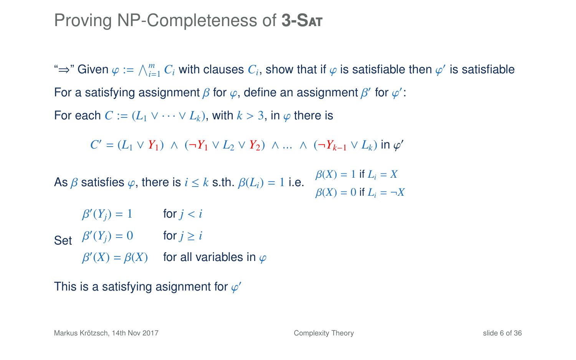#### Proving NP-Completeness of **3-S**at

"⇒" Given  $\varphi := \bigwedge_{i=1}^m C_i$  with clauses  $C_i$ , show that if  $\varphi$  is satisfiable then  $\varphi'$  is satisfiable For a satisfying assignment  $\beta$  for  $\varphi$ , define an assignment  $\beta'$  for  $\varphi'$ : For each  $C := (L_1 \vee \cdots \vee L_k)$ , with  $k > 3$ , in  $\varphi$  there is

*C*' = (*L*<sub>1</sub> ∨ *Y*<sub>1</sub>) ∧ (¬*Y*<sub>1</sub> ∨ *L*<sub>2</sub> ∨ *Y*<sub>2</sub>) ∧ ... ∧ (¬*Y*<sub>*k*−1</sub> ∨ *L*<sub>*k*</sub>) in  $\varphi'$ 

As  $\beta$  satisfies  $\varphi$ , there is  $i \leq k$  s.th.  $\beta(L_i) = 1$  i.e.  $\beta(X) = 1$  if  $L_i = X$  $\beta(X) = 0$  if  $L_i = \neg X$ 

Set β  $C(Y_j) = 1$  for  $j < i$ β  $C(Y_j) = 0$  for  $j \geq i$ β  $O(X) = \beta(X)$  for all variables in  $\varphi$ 

This is a satisfying asignment for  $\varphi'$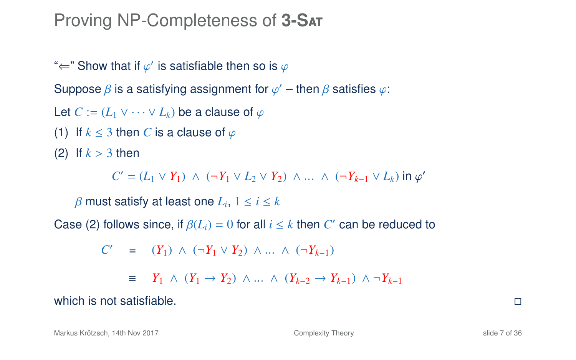### Proving NP-Completeness of **3-S**at

" $\Leftarrow$ " Show that if  $\varphi'$  is satisfiable then so is  $\varphi$ 

Suppose  $\beta$  is a satisfying assignment for  $\varphi'$  – then  $\beta$  satisfies  $\varphi$ :

Let  $C := (L_1 \vee \cdots \vee L_k)$  be a clause of  $\varphi$ 

(1) If  $k \leq 3$  then *C* is a clause of  $\varphi$ 

(2) If  $k > 3$  then

*C*' = (*L*<sub>1</sub> ∨ *Y*<sub>1</sub>) ∧ (¬*Y*<sub>1</sub> ∨ *L*<sub>2</sub> ∨ *Y*<sub>2</sub>) ∧ ... ∧ (¬*Y*<sub>*k*−1</sub> ∨ *L*<sub>*k*</sub>) in  $\varphi$ '

 $\beta$  must satisfy at least one  $L_i$ ,  $1 \le i \le k$ 

Case (2) follows since, if  $\beta(L_i) = 0$  for all  $i \leq k$  then  $C'$  can be reduced to

$$
C' = (Y_1) \wedge (\neg Y_1 \vee Y_2) \wedge \dots \wedge (\neg Y_{k-1})
$$
  

$$
\equiv Y_1 \wedge (Y_1 \rightarrow Y_2) \wedge \dots \wedge (Y_{k-2} \rightarrow Y_{k-1}) \wedge \neg Y_{k-1}
$$

which is not satisfiable.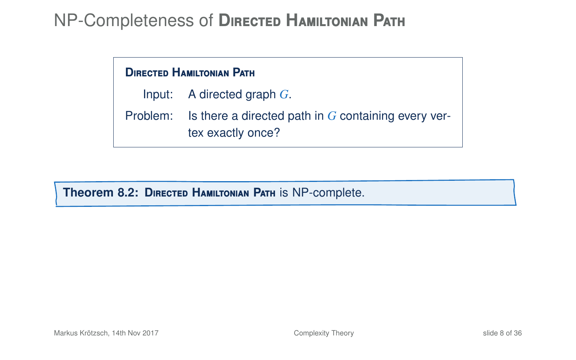#### **D**irected **H**amiltonian **P**ath

Input: A directed graph *G*.

Problem: Is there a directed path in *G* containing every vertex exactly once?

**Theorem 8.2: D**irected **H**amiltonian **P**ath is NP-complete.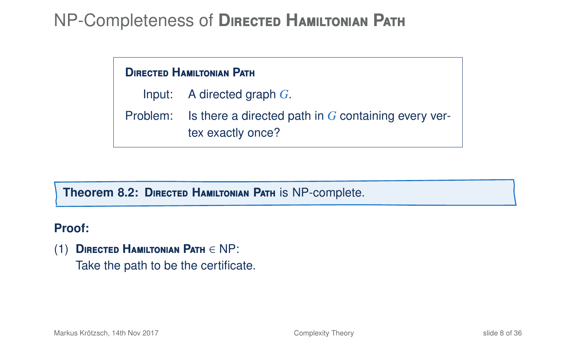#### **D**irected **H**amiltonian **P**ath

Input: A directed graph *G*.

Problem: Is there a directed path in *G* containing every vertex exactly once?

**Theorem 8.2: D**irected **H**amiltonian **P**ath is NP-complete.

#### **Proof:**

(1) **D**irected **H**amiltonian **P**ath ∈ NP: Take the path to be the certificate.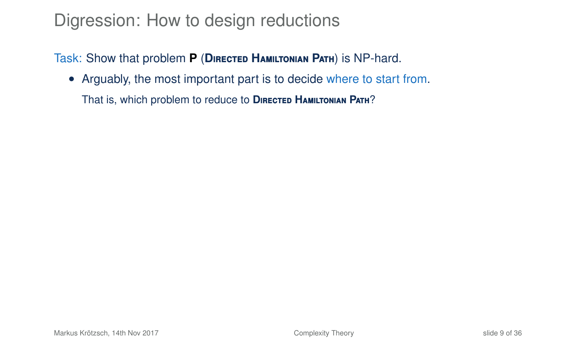### Digression: How to design reductions

Task: Show that problem **P** (**D**irected **H**amiltonian **P**ath) is NP-hard.

• Arguably, the most important part is to decide where to start from.

That is, which problem to reduce to **D**irected **H**amiltonian **P**ath?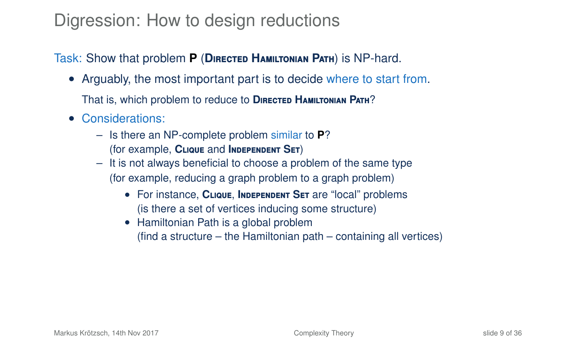### Digression: How to design reductions

#### Task: Show that problem **P** (**D**irected **H**amiltonian **P**ath) is NP-hard.

• Arguably, the most important part is to decide where to start from.

That is, which problem to reduce to **D**irected **H**amiltonian **P**ath?

- Considerations:
	- Is there an NP-complete problem similar to **P**? (for example, **C**lique and **I**ndependent **S**et)
	- It is not always beneficial to choose a problem of the same type (for example, reducing a graph problem to a graph problem)
		- For instance, **C**lique, **I**ndependent **S**et are "local" problems (is there a set of vertices inducing some structure)
		- Hamiltonian Path is a global problem (find a structure – the Hamiltonian path – containing all vertices)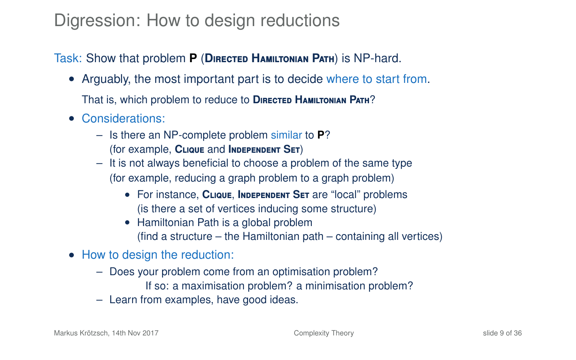### Digression: How to design reductions

#### Task: Show that problem **P** (**D**irected **H**amiltonian **P**ath) is NP-hard.

• Arguably, the most important part is to decide where to start from.

That is, which problem to reduce to **D**irected **H**amiltonian **P**ath?

- Considerations:
	- Is there an NP-complete problem similar to **P**? (for example, **C**lique and **I**ndependent **S**et)
	- It is not always beneficial to choose a problem of the same type (for example, reducing a graph problem to a graph problem)
		- For instance, **C**lique, **I**ndependent **S**et are "local" problems (is there a set of vertices inducing some structure)
		- Hamiltonian Path is a global problem (find a structure – the Hamiltonian path – containing all vertices)
- How to design the reduction:
	- Does your problem come from an optimisation problem?
		- If so: a maximisation problem? a minimisation problem?
	- Learn from examples, have good ideas.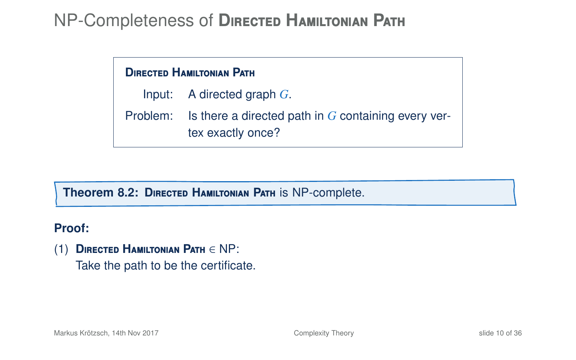#### **D**irected **H**amiltonian **P**ath

- Input: A directed graph *G*.
- Problem: Is there a directed path in *G* containing every vertex exactly once?

#### **Theorem 8.2: D**irected **H**amiltonian **P**ath is NP-complete.

#### **Proof:**

(1) **D**irected **H**amiltonian **P**ath ∈ NP: Take the path to be the certificate.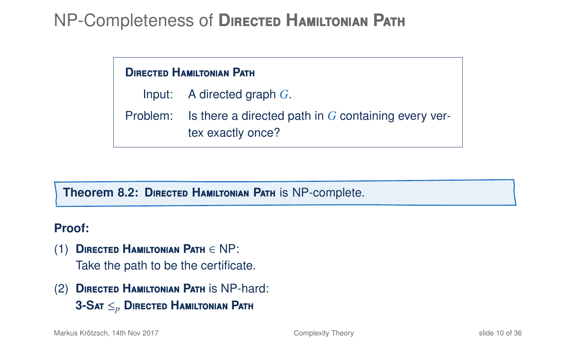#### **D**irected **H**amiltonian **P**ath

Input: A directed graph *G*.

Problem: Is there a directed path in *G* containing every vertex exactly once?

#### **Theorem 8.2: D**irected **H**amiltonian **P**ath is NP-complete.

#### **Proof:**

- (1) **D**irected **H**amiltonian **P**ath ∈ NP: Take the path to be the certificate.
- (2) **D**irected **H**amiltonian **P**ath is NP-hard: **3-S**at ≤*<sup>p</sup>* **D**irected **H**amiltonian **P**ath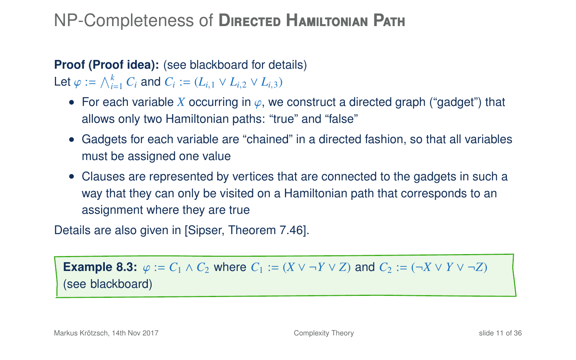## **Proof (Proof idea):** (see blackboard for details)

Let  $\varphi := \bigwedge_{i=1}^{k} C_i$  and  $C_i := (L_{i,1} \vee L_{i,2} \vee L_{i,3})$ 

- For each variable *X* occurring in  $\varphi$ , we construct a directed graph ("gadget") that allows only two Hamiltonian paths: "true" and "false"
- Gadgets for each variable are "chained" in a directed fashion, so that all variables must be assigned one value
- Clauses are represented by vertices that are connected to the gadgets in such a way that they can only be visited on a Hamiltonian path that corresponds to an assignment where they are true

Details are also given in [Sipser, Theorem 7.46].

**Example 8.3:**  $\varphi := C_1 \wedge C_2$  where  $C_1 := (X \vee \neg Y \vee Z)$  and  $C_2 := (\neg X \vee Y \vee \neg Z)$ (see blackboard)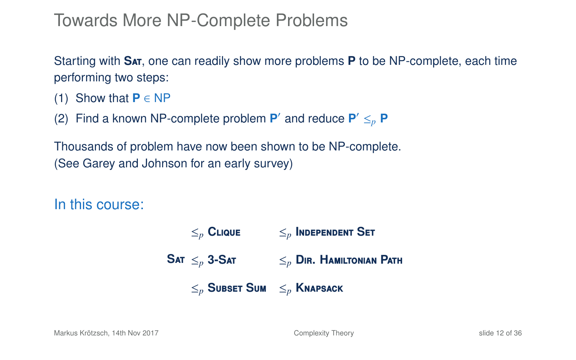### Towards More NP-Complete Problems

Starting with **S**at, one can readily show more problems **P** to be NP-complete, each time performing two steps:

- (1) Show that  $P \in NP$
- (2) Find a known NP-complete problem  $P'$  and reduce  $P' \leq_{p} P$

Thousands of problem have now been shown to be NP-complete. (See Garey and Johnson for an early survey)

In this course:

 $\mathsf{SAT} \leq_n \mathsf{3}\text{-}\mathsf{SAT}$  $\leq_p$  **CLIQUE**  $\leq_p$  **INDEPENDENT SET** ≤*<sup>p</sup>* **3-S**at ≤*<sup>p</sup>* **D**ir**. H**amiltonian **P**ath ≤*<sup>p</sup>* **S**ubset **S**um ≤*<sup>p</sup>* **K**napsack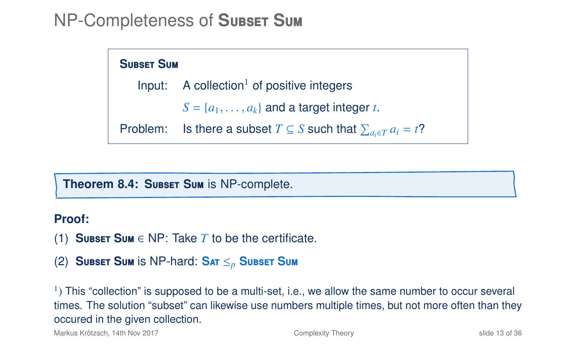### NP-Completeness of **S**ubset **S**um

#### **S**ubset **S**um

Input:  $A$  collection<sup>1</sup> of positive integers  $S = \{a_1, \ldots, a_k\}$  and a target integer *t*.

Problem: Is there a subset  $T \subseteq S$  such that  $\sum_{a_i \in T} a_i = t$ ?

#### **Theorem 8.4: SUBSET SUM is NP-complete.**

#### **Proof:**

- (1) **SUBSET SUM**  $\in$  NP: Take *T* to be the certificate.
- (2) **S**ubset **S**um is NP-hard: **S**at ≤*<sup>p</sup>* **S**ubset **S**um

 $<sup>1</sup>$ ) This "collection" is supposed to be a multi-set, i.e., we allow the same number to occur several</sup> times. The solution "subset" can likewise use numbers multiple times, but not more often than they occured in the given collection.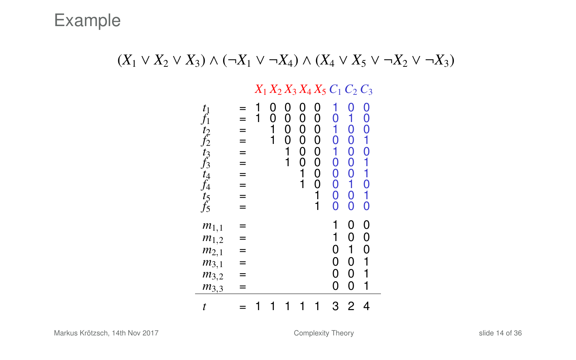#### $(X_1 \vee X_2 \vee X_3) \wedge (\neg X_1 \vee \neg X_4) \wedge (X_4 \vee X_5 \vee \neg X_2 \vee \neg X_3)$

#### *X*<sup>1</sup> *X*<sup>2</sup> *X*<sup>3</sup> *X*<sup>4</sup> *X*<sup>5</sup> *C*<sup>1</sup> *C*<sup>2</sup> *C*<sup>3</sup>

| $t_1$<br>t2 f2 t3 f3 t4 f4 t5 f5                                           | =<br>=<br>= | 1 | 0<br>0<br>1<br>1 | 0<br>0<br>0<br>0<br>1<br>1 | 0<br>0<br>0<br>0<br>0<br>Ō<br>1<br>1 | 0<br>0<br>0<br>0<br>0<br>0<br>0<br>0<br>1<br>1 | 0<br>0<br>1<br>Ó<br>$^{\rm o}_{\rm o}$<br>Ō<br>Ō | 0<br>1<br>0<br>0<br>$^{\rm o}_{\rm o}$<br>0<br>1<br>Ö<br>O | 0<br>O<br>Ō<br>1<br>O<br>1<br>0<br>1<br>Ó |  |
|----------------------------------------------------------------------------|-------------|---|------------------|----------------------------|--------------------------------------|------------------------------------------------|--------------------------------------------------|------------------------------------------------------------|-------------------------------------------|--|
| $m_{1,1}$<br>$m_{1,2}$<br>$m_{2,1}$<br>$m_{3,1}$<br>$m_{3,2}$<br>$m_{3,3}$ |             |   |                  |                            |                                      |                                                | 1<br>1<br>0<br>0<br>0<br>0                       | 0<br>0<br>1<br>0<br>0<br>0                                 | 0<br>0<br>0<br>1<br>1<br>1                |  |
| t                                                                          |             |   |                  |                            |                                      |                                                | 3                                                | 2                                                          | 4                                         |  |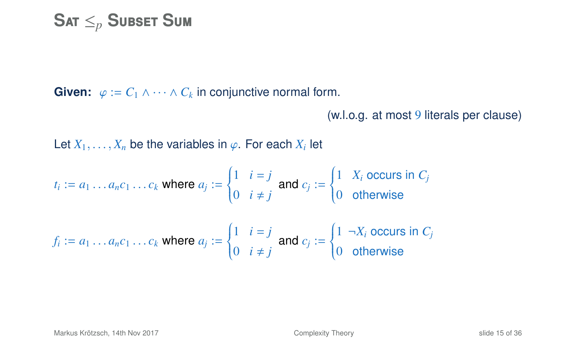$$
\mathbf{S}\text{at}\leq_{p}\mathbf{S}\text{ubset}\ \mathbf{S}\text{um}
$$

**Given:**  $\varphi := C_1 \wedge \cdots \wedge C_k$  in conjunctive normal form.

```
(w.l.o.g. at most 9 literals per clause)
```
Let  $X_1, \ldots, X_n$  be the variables in  $\varphi$ . For each  $X_i$  let

$$
t_i := a_1 \dots a_n c_1 \dots c_k \text{ where } a_j := \begin{cases} 1 & i = j \\ 0 & i \neq j \end{cases} \text{ and } c_j := \begin{cases} 1 & X_i \text{ occurs in } C_j \\ 0 & \text{otherwise} \end{cases}
$$

$$
f_i := a_1 \dots a_n c_1 \dots c_k \text{ where } a_j := \begin{cases} 1 & i = j \\ 0 & i \neq j \end{cases} \text{ and } c_j := \begin{cases} 1 & \neg X_i \text{ occurs in } C_j \\ 0 & \text{otherwise} \end{cases}
$$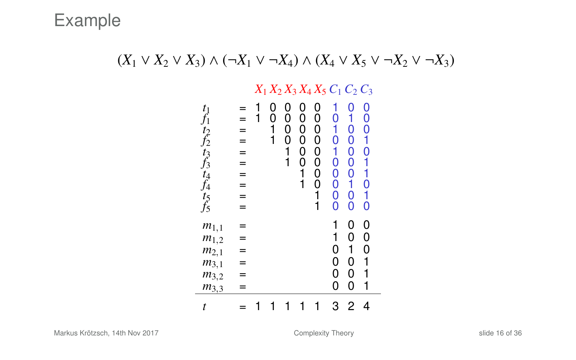#### $(X_1 \vee X_2 \vee X_3) \wedge (\neg X_1 \vee \neg X_4) \wedge (X_4 \vee X_5 \vee \neg X_2 \vee \neg X_3)$

#### *X*<sup>1</sup> *X*<sup>2</sup> *X*<sup>3</sup> *X*<sup>4</sup> *X*<sup>5</sup> *C*<sup>1</sup> *C*<sup>2</sup> *C*<sup>3</sup>

| $t_1$<br>t2 f2 t3 f3 t4 f4 t5 f5 | $=$<br>=<br>=<br>$=$<br>=<br>$=$<br>$=$<br>=<br>= | 1 | 0<br>0<br>1<br>1 | 0<br>0<br>0<br>0<br>1<br>1 | 0<br>0<br>0<br>0<br>$^{\rm o}_{\rm o}$<br>1<br>1 | 0<br>0<br>0<br>0<br>0<br>Ō<br>0<br>0<br>1<br>i | 0<br>Ö<br>1<br>O<br>0<br>O<br>O<br>O | 0<br>1<br>O<br>O<br>0<br>0<br>Ö<br>1<br>Ö<br>0 | 0<br>0<br>0<br>1<br>$\overline{0}$<br>İ<br>1<br>Ö<br>1<br>Ó |  |
|----------------------------------|---------------------------------------------------|---|------------------|----------------------------|--------------------------------------------------|------------------------------------------------|--------------------------------------|------------------------------------------------|-------------------------------------------------------------|--|
| $m_{1,1}$<br>$m_{1,2}$           | =                                                 |   |                  |                            |                                                  |                                                | 1<br>1                               | 0<br>0                                         | 0<br>0                                                      |  |
| $m_{2,1}$                        | =                                                 |   |                  |                            |                                                  |                                                | 0                                    | 1                                              | 0                                                           |  |
| $m_{3,1}$                        | =                                                 |   |                  |                            |                                                  |                                                | 0                                    | 0                                              | 1                                                           |  |
| $m_{3,2}$                        | =                                                 |   |                  |                            |                                                  |                                                | 0                                    | 0                                              | 1                                                           |  |
| $m_{3,3}$                        | =                                                 |   |                  |                            |                                                  |                                                | 0                                    | 0                                              | 1                                                           |  |
| t                                |                                                   |   |                  |                            |                                                  |                                                | 3                                    | 2                                              | 4                                                           |  |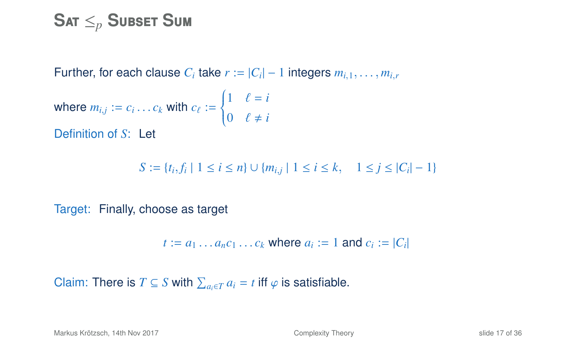### $\mathbf{S}$ at  $\leq_p \mathbf{S}$ ubset  $\mathbf{S}$ um

Further, for each clause  $C_i$  take  $r := |C_i| - 1$  integers  $m_{i,1}, \ldots, m_{i,r}$ 

where 
$$
m_{i,j} := c_i \dots c_k
$$
 with  $c_{\ell} := \begin{cases} 1 & \ell = i \\ 0 & \ell \neq i \end{cases}$   
Definition of *S*: Let

$$
S := \{t_i, f_i \mid 1 \le i \le n\} \cup \{m_{i,j} \mid 1 \le i \le k, \quad 1 \le j \le |C_i| - 1\}
$$

Target: Finally, choose as target

$$
t := a_1 \dots a_n c_1 \dots c_k \text{ where } a_i := 1 \text{ and } c_i := |C_i|
$$

Claim: There is  $T \subseteq S$  with  $\sum_{a_i \in T} a_i = t$  iff  $\varphi$  is satisfiable.

Markus Krötzsch, 14th Nov 2017 **[Complexity Theory](#page-0-0)** Complexity Theory slide 17 of 36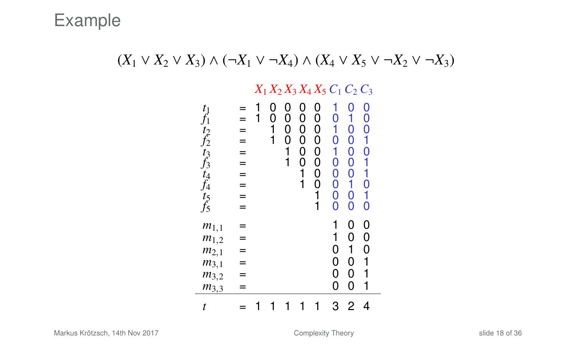#### $(X_1 \vee X_2 \vee X_3) \wedge (\neg X_1 \vee \neg X_4) \wedge (X_4 \vee X_5 \vee \neg X_2 \vee \neg X_3)$

#### *X*<sup>1</sup> *X*<sup>2</sup> *X*<sup>3</sup> *X*<sup>4</sup> *X*<sup>5</sup> *C*<sup>1</sup> *C*<sup>2</sup> *C*<sup>3</sup>

| $t_1$<br>t2 f2 t3 f3 t4 f4 t5 f5                                           | =<br>=<br>= | 1 | 0<br>0<br>1<br>1 | 0<br>0<br>0<br>0<br>1<br>1 | 0<br>0<br>0<br>0<br>0<br>Ō<br>1<br>1 | 0<br>0<br>0<br>0<br>0<br>0<br>0<br>0<br>1<br>1 | 0<br>0<br>1<br>Ó<br>$^{\rm o}_{\rm o}$<br>Ō<br>Ō | 0<br>1<br>0<br>0<br>$^{\rm o}_{\rm o}$<br>0<br>1<br>Ö<br>O | 0<br>O<br>Ō<br>1<br>O<br>1<br>0<br>1<br>Ó |  |
|----------------------------------------------------------------------------|-------------|---|------------------|----------------------------|--------------------------------------|------------------------------------------------|--------------------------------------------------|------------------------------------------------------------|-------------------------------------------|--|
| $m_{1,1}$<br>$m_{1,2}$<br>$m_{2,1}$<br>$m_{3,1}$<br>$m_{3,2}$<br>$m_{3,3}$ |             |   |                  |                            |                                      |                                                | 1<br>1<br>0<br>0<br>0<br>0                       | 0<br>0<br>1<br>0<br>0<br>0                                 | 0<br>0<br>0<br>1<br>1<br>1                |  |
| t                                                                          |             |   |                  |                            |                                      |                                                | 3                                                | 2                                                          | 4                                         |  |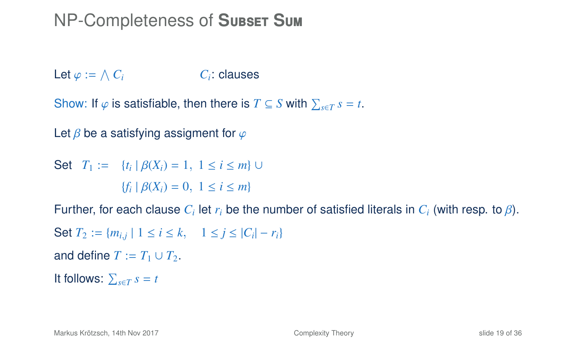### NP-Completeness of **S**ubset **S**um

Let  $\varphi := \bigwedge C_i$  *C<sub>i</sub>* C: clauses

Show: If  $\varphi$  is satisfiable, then there is  $T \subseteq S$  with  $\sum_{s \in T} s = t$ .

Let  $\beta$  be a satisfying assigment for  $\varphi$ 

Set *T*<sub>1</sub> := {*t<sub>i</sub>* |  $\beta$ (*X<sub>i</sub>*) = 1, 1 ≤ *i* ≤ *m*} ∪  ${f_i | \beta(X_i) = 0, 1 \le i \le m}$ 

Further, for each clause  $C_i$  let  $r_i$  be the number of satisfied literals in  $C_i$  (with resp. to  $\beta$ ).

```
Set T_2 := \{m_{i,j} \mid 1 \le i \le k, \quad 1 \le j \le |C_i| - r_i\}
```

```
and define T := T_1 \cup T_2.
```

```
It follows: \sum_{s \in T} s = t
```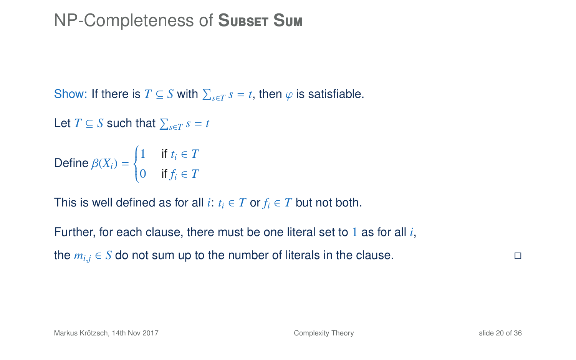### NP-Completeness of **S**ubset **S**um

Show: If there is  $T \subseteq S$  with  $\sum_{s \in T} s = t$ , then  $\varphi$  is satisfiable.

```
Let T \subseteq S such that \sum_{s \in T} s = t
```

```
Define \beta(X_i) =\left\{ \right.\overline{\mathcal{L}}1 if t_i \in T0 if f_i \in T
```
This is well defined as for all *i*:  $t_i \in T$  or  $f_i \in T$  but not both.

Further, for each clause, there must be one literal set to 1 as for all *i*, the  $m_{i,j}$  ∈ *S* do not sum up to the number of literals in the clause.  $\Box$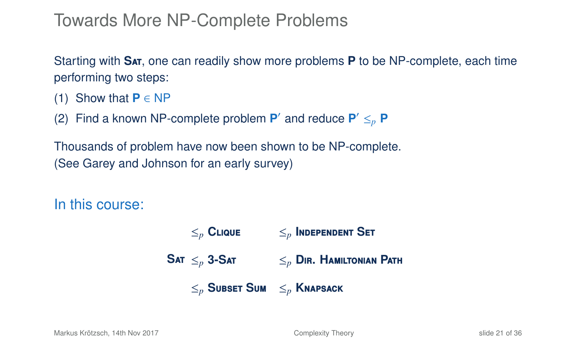### Towards More NP-Complete Problems

Starting with **S**at, one can readily show more problems **P** to be NP-complete, each time performing two steps:

- (1) Show that  $P \in NP$
- (2) Find a known NP-complete problem  $P'$  and reduce  $P' \leq_{p} P$

Thousands of problem have now been shown to be NP-complete. (See Garey and Johnson for an early survey)

In this course:

 $\mathsf{SAT} \leq_n \mathsf{3}\text{-}\mathsf{SAT}$  $\leq_p$  **CLIQUE**  $\leq_p$  **INDEPENDENT SET** ≤*<sup>p</sup>* **3-S**at ≤*<sup>p</sup>* **D**ir**. H**amiltonian **P**ath ≤*<sup>p</sup>* **S**ubset **S**um ≤*<sup>p</sup>* **K**napsack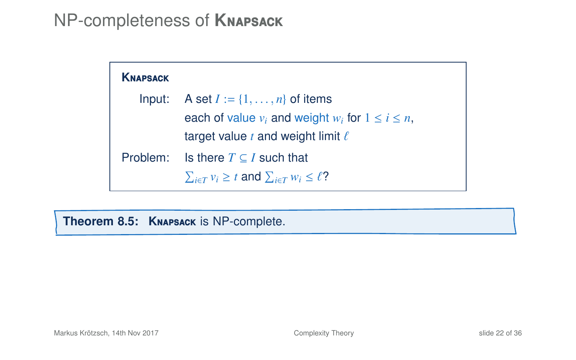### NP-completeness of **K**napsack

| <b>KNAPSACK</b> |                                                                  |
|-----------------|------------------------------------------------------------------|
| Input:          | A set $I := \{1, \ldots, n\}$ of items                           |
|                 | each of value $v_i$ and weight $w_i$ for $1 \le i \le n$ .       |
|                 | target value t and weight limit $\ell$                           |
| Problem:        | Is there $T \subseteq I$ such that                               |
|                 | $\sum_{i \in T} v_i \geq t$ and $\sum_{i \in T} w_i \leq \ell$ ? |

<span id="page-25-0"></span>**Theorem 8.5: K**napsack is NP-complete.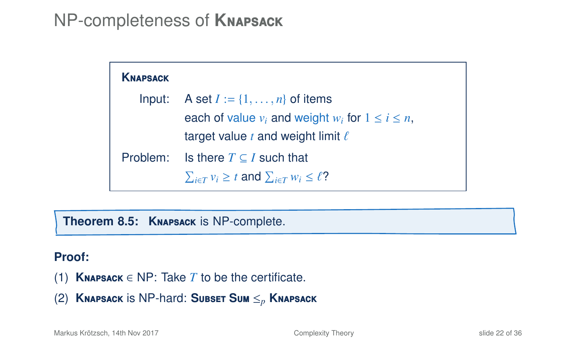### NP-completeness of **K**napsack

| <b>KNAPSACK</b> |                                                                  |
|-----------------|------------------------------------------------------------------|
| Input:          | A set $I := \{1, \ldots, n\}$ of items                           |
|                 | each of value $v_i$ and weight $w_i$ for $1 \le i \le n$ .       |
|                 | target value t and weight limit $\ell$                           |
| Problem:        | Is there $T \subseteq I$ such that                               |
|                 | $\sum_{i \in T} v_i \geq t$ and $\sum_{i \in T} w_i \leq \ell$ ? |

**Theorem 8.5: K**napsack is NP-complete.

#### **Proof:**

- (1) **KNAPSACK**  $\in$  NP: Take *T* to be the certificate.
- (2) **K**napsack is NP-hard: **S**ubset **S**um ≤*<sup>p</sup>* **K**napsack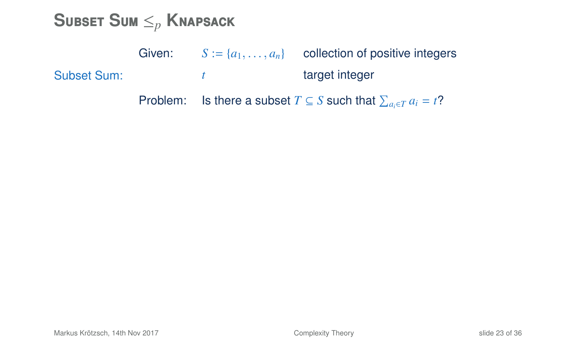**S**ubset **S**um ≤*<sup>p</sup>* **K**napsack

|             | Given: | $S := \{a_1, \ldots, a_n\}$ collection of positive integers                       |
|-------------|--------|-----------------------------------------------------------------------------------|
| Subset Sum: |        | target integer                                                                    |
|             |        | Problem: Is there a subset $T \subseteq S$ such that $\sum_{a_i \in T} a_i = t$ ? |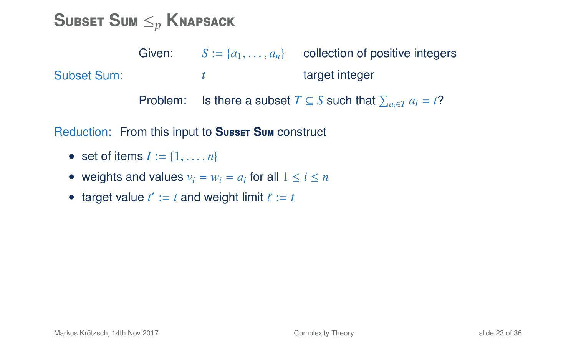**S**ubset **S**um ≤*<sup>p</sup>* **K**napsack

Subset Sum: Given:  $S := \{a_1, \ldots, a_n\}$  collection of positive integers *t* target integer Problem: Is there a subset  $T \subseteq S$  such that  $\sum_{a_i \in T} a_i = t$ ?

Reduction: From this input to Subset Sum construct

- set of items  $I := \{1, \ldots, n\}$
- weights and values  $v_i = w_i = a_i$  for all  $1 \le i \le n$
- target value  $t' := t$  and weight limit  $\ell := t$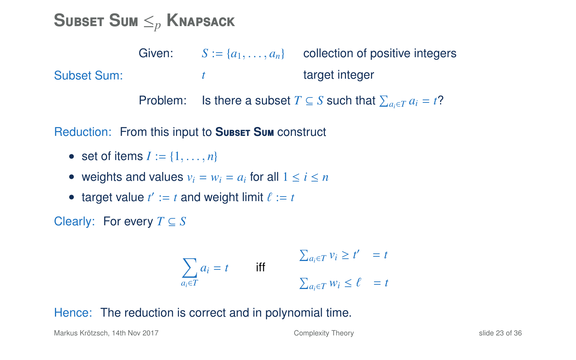**S**ubset **S**um ≤*<sup>p</sup>* **K**napsack

Subset Sum: Given:  $S := \{a_1, \ldots, a_n\}$  collection of positive integers *t* target integer Problem: Is there a subset  $T \subseteq S$  such that  $\sum_{a_i \in T} a_i = t$ ?

Reduction: From this input to **SUBSET SUM** construct

- set of items  $I := \{1, \ldots, n\}$
- weights and values  $v_i = w_i = a_i$  for all  $1 \le i \le n$
- target value  $t' := t$  and weight limit  $\ell := t$

Clearly: For every *T* ⊆ *S*

$$
\sum_{a_i \in T} a_i = t \qquad \text{iff} \qquad \qquad \sum_{a_i \in T} v_i \ge t' = t
$$
\n
$$
\sum_{a_i \in T} w_i \le \ell = t
$$

#### Hence: The reduction is correct and in polynomial time.

Markus Krötzsch, 14th Nov 2017 [Complexity Theory](#page-0-0) slide 23 of 36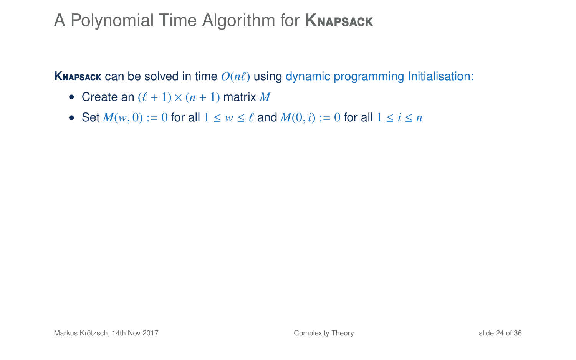## A Polynomial Time Algorithm for **K**napsack

**KNAPSACK** can be solved in time  $O(n\ell)$  using dynamic programming Initialisation:

- Create an  $(\ell + 1) \times (n + 1)$  matrix *M*
- Set  $M(w, 0) := 0$  for all  $1 \le w \le \ell$  and  $M(0, i) := 0$  for all  $1 \le i \le n$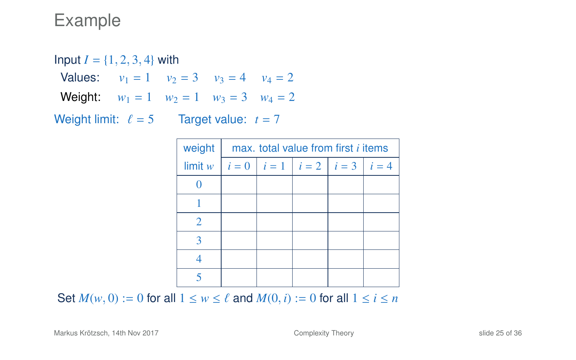Input  $I = \{1, 2, 3, 4\}$  with Values:  $v_1 = 1$   $v_2 = 3$   $v_3 = 4$   $v_4 = 2$ **Weight:**  $w_1 = 1$   $w_2 = 1$   $w_3 = 3$   $w_4 = 2$ Weight limit:  $\ell = 5$  Target value:  $t = 7$ 

| weight  | max, total value from first <i>i</i> items |                                         |  |  |  |  |  |
|---------|--------------------------------------------|-----------------------------------------|--|--|--|--|--|
| limit w |                                            | $i = 0$ $i = 1$ $i = 2$ $i = 3$ $i = 4$ |  |  |  |  |  |
|         |                                            |                                         |  |  |  |  |  |
|         |                                            |                                         |  |  |  |  |  |
|         |                                            |                                         |  |  |  |  |  |
|         |                                            |                                         |  |  |  |  |  |
|         |                                            |                                         |  |  |  |  |  |
|         |                                            |                                         |  |  |  |  |  |

Set  $M(w, 0) := 0$  for all  $1 \le w \le \ell$  and  $M(0, i) := 0$  for all  $1 \le i \le n$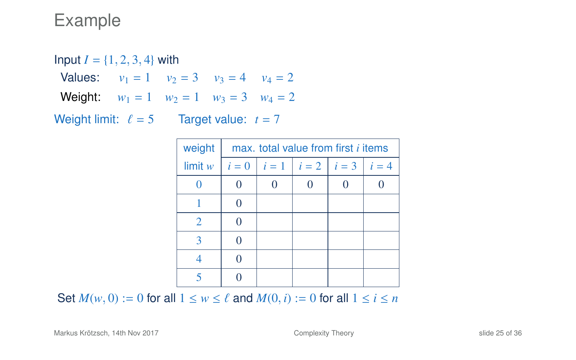Input  $I = \{1, 2, 3, 4\}$  with Values:  $v_1 = 1$   $v_2 = 3$   $v_3 = 4$   $v_4 = 2$ **Weight:**  $w_1 = 1$   $w_2 = 1$   $w_3 = 3$   $w_4 = 2$ Weight limit:  $\ell = 5$  Target value:  $t = 7$ 

| weight  | max, total value from first <i>i</i> items |                         |  |  |               |  |  |
|---------|--------------------------------------------|-------------------------|--|--|---------------|--|--|
| limit w | $i=0$                                      | $i = 1$ $i = 2$ $i = 3$ |  |  | $\vert i = 4$ |  |  |
|         |                                            |                         |  |  |               |  |  |
|         | 0                                          |                         |  |  |               |  |  |
| 2       |                                            |                         |  |  |               |  |  |
| ౩       |                                            |                         |  |  |               |  |  |
|         |                                            |                         |  |  |               |  |  |
|         |                                            |                         |  |  |               |  |  |

Set  $M(w, 0) := 0$  for all  $1 \le w \le \ell$  and  $M(0, i) := 0$  for all  $1 \le i \le n$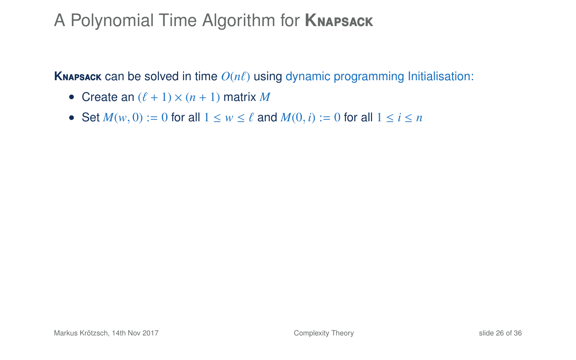## A Polynomial Time Algorithm for **K**napsack

**KNAPSACK** can be solved in time  $O(n\ell)$  using dynamic programming Initialisation:

- Create an  $(\ell + 1) \times (n + 1)$  matrix *M*
- Set  $M(w, 0) := 0$  for all  $1 \le w \le \ell$  and  $M(0, i) := 0$  for all  $1 \le i \le n$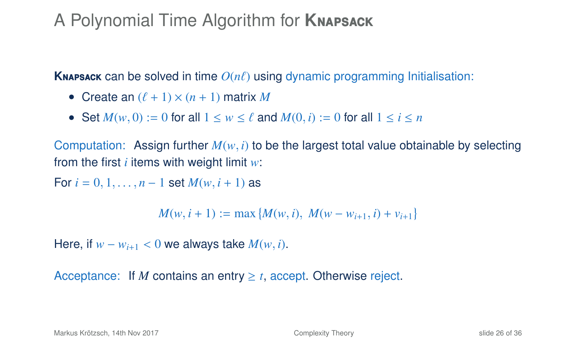## A Polynomial Time Algorithm for **K**napsack

**KNAPSACK** can be solved in time  $O(n\ell)$  using dynamic programming Initialisation:

- Create an  $(\ell + 1) \times (n + 1)$  matrix *M*
- Set  $M(w, 0) := 0$  for all  $1 \le w \le \ell$  and  $M(0, i) := 0$  for all  $1 \le i \le n$

Computation: Assign further  $M(w, i)$  to be the largest total value obtainable by selecting from the first *i* items with weight limit *w*:

For  $i = 0, 1, ..., n - 1$  set  $M(w, i + 1)$  as

$$
M(w, i + 1) := \max \{ M(w, i), M(w - w_{i+1}, i) + v_{i+1} \}
$$

Here, if  $w - w_{i+1} < 0$  we always take  $M(w, i)$ .

Acceptance: If *M* contains an entry  $\geq t$ , accept. Otherwise reject.

Markus Krötzsch, 14th Nov 2017 [Complexity Theory](#page-0-0) slide 26 of 36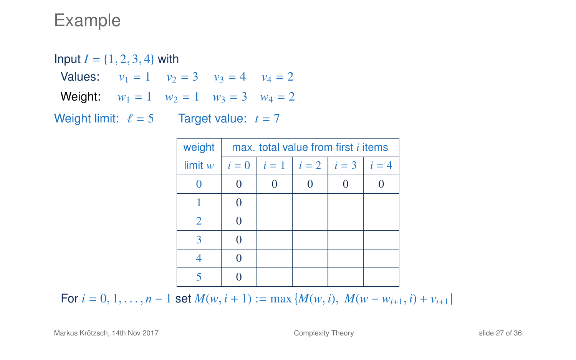Input  $I = \{1, 2, 3, 4\}$  with Values:  $v_1 = 1$   $v_2 = 3$   $v_3 = 4$   $v_4 = 2$ **Weight:**  $w_1 = 1$   $w_2 = 1$   $w_3 = 3$   $w_4 = 2$ Weight limit:  $\ell = 5$  Target value:  $t = 7$ 

| weight  | max, total value from first <i>i</i> items |   |                         |  |       |  |  |
|---------|--------------------------------------------|---|-------------------------|--|-------|--|--|
| limit w | $i=0$                                      |   | $i = 1$ $i = 2$ $i = 3$ |  | $i=4$ |  |  |
|         |                                            | 0 |                         |  |       |  |  |
|         |                                            |   |                         |  |       |  |  |
| 2       | 0                                          |   |                         |  |       |  |  |
| 3       |                                            |   |                         |  |       |  |  |
|         |                                            |   |                         |  |       |  |  |
|         |                                            |   |                         |  |       |  |  |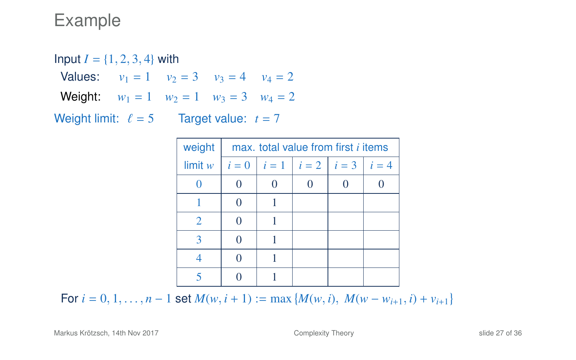Input  $I = \{1, 2, 3, 4\}$  with Values:  $v_1 = 1$   $v_2 = 3$   $v_3 = 4$   $v_4 = 2$ **Weight:**  $w_1 = 1$   $w_2 = 1$   $w_3 = 3$   $w_4 = 2$ Weight limit:  $\ell = 5$  Target value:  $t = 7$ 

| weight         | max, total value from first <i>i</i> items |  |                         |  |       |  |  |
|----------------|--------------------------------------------|--|-------------------------|--|-------|--|--|
| limit w        | $i=0$                                      |  | $i = 1$ $i = 2$ $i = 3$ |  | $i=4$ |  |  |
|                |                                            |  |                         |  |       |  |  |
|                |                                            |  |                         |  |       |  |  |
| $\overline{2}$ |                                            |  |                         |  |       |  |  |
| 3              |                                            |  |                         |  |       |  |  |
|                |                                            |  |                         |  |       |  |  |
|                |                                            |  |                         |  |       |  |  |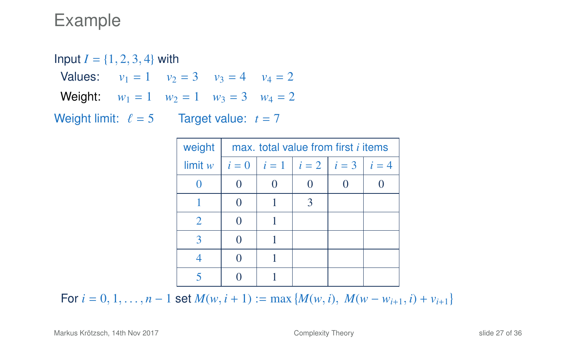Input  $I = \{1, 2, 3, 4\}$  with Values:  $v_1 = 1$   $v_2 = 3$   $v_3 = 4$   $v_4 = 2$ **Weight:**  $w_1 = 1$   $w_2 = 1$   $w_3 = 3$   $w_4 = 2$ Weight limit:  $\ell = 5$  Target value:  $t = 7$ 

| weight         | max, total value from first <i>i</i> items |  |                         |  |       |  |  |
|----------------|--------------------------------------------|--|-------------------------|--|-------|--|--|
| limit w        | $i=0$                                      |  | $i = 1$ $i = 2$ $i = 3$ |  | $i=4$ |  |  |
|                |                                            |  |                         |  |       |  |  |
|                |                                            |  | 3                       |  |       |  |  |
| $\overline{2}$ |                                            |  |                         |  |       |  |  |
| 3              |                                            |  |                         |  |       |  |  |
|                |                                            |  |                         |  |       |  |  |
|                |                                            |  |                         |  |       |  |  |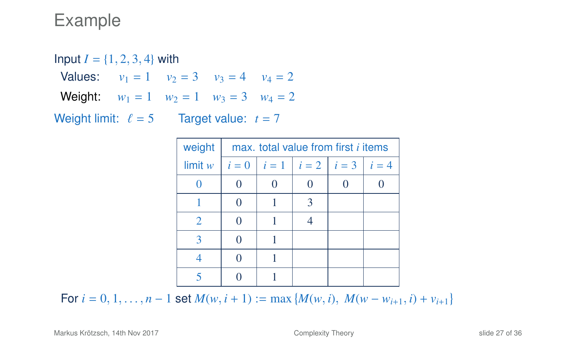Input  $I = \{1, 2, 3, 4\}$  with Values:  $v_1 = 1$   $v_2 = 3$   $v_3 = 4$   $v_4 = 2$ **Weight:**  $w_1 = 1$   $w_2 = 1$   $w_3 = 3$   $w_4 = 2$ Weight limit:  $\ell = 5$  Target value:  $t = 7$ 

| weight                      | max, total value from first <i>i</i> items |                                       |   |  |  |  |  |
|-----------------------------|--------------------------------------------|---------------------------------------|---|--|--|--|--|
| limit w                     | $i=0$                                      | $\  i = 1 \  i = 2 \  i = 3 \  i = 4$ |   |  |  |  |  |
|                             |                                            |                                       |   |  |  |  |  |
|                             |                                            |                                       | 3 |  |  |  |  |
| $\mathcal{D}_{\mathcal{L}}$ |                                            |                                       |   |  |  |  |  |
| 3                           |                                            |                                       |   |  |  |  |  |
|                             |                                            |                                       |   |  |  |  |  |
|                             |                                            |                                       |   |  |  |  |  |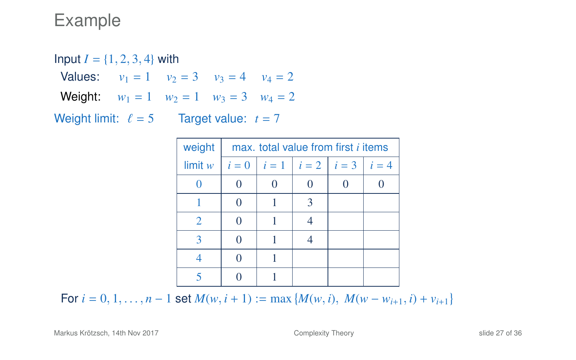Input  $I = \{1, 2, 3, 4\}$  with Values:  $v_1 = 1$   $v_2 = 3$   $v_3 = 4$   $v_4 = 2$ **Weight:**  $w_1 = 1$   $w_2 = 1$   $w_3 = 3$   $w_4 = 2$ Weight limit:  $\ell = 5$  Target value:  $t = 7$ 

| weight         | max, total value from first <i>i</i> items |                                           |   |  |
|----------------|--------------------------------------------|-------------------------------------------|---|--|
| limit w        | $i=0$                                      | $\vert i=1 \vert i=2 \vert i=3 \vert i=4$ |   |  |
|                |                                            |                                           |   |  |
|                |                                            |                                           | 3 |  |
| $\overline{2}$ |                                            |                                           |   |  |
| 3              |                                            |                                           |   |  |
|                |                                            |                                           |   |  |
|                |                                            |                                           |   |  |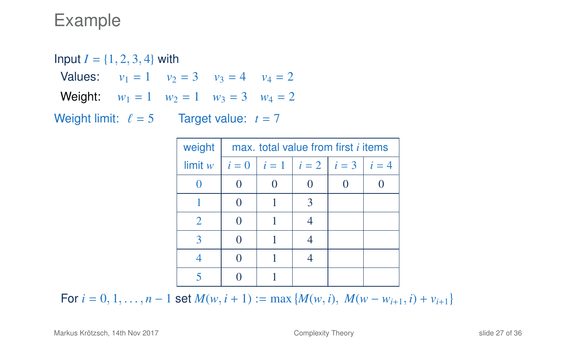Input  $I = \{1, 2, 3, 4\}$  with Values:  $v_1 = 1$   $v_2 = 3$   $v_3 = 4$   $v_4 = 2$ **Weight:**  $w_1 = 1$   $w_2 = 1$   $w_3 = 3$   $w_4 = 2$ Weight limit:  $\ell = 5$  Target value:  $t = 7$ 

| weight  | max, total value from first <i>i</i> items |                         |   |       |
|---------|--------------------------------------------|-------------------------|---|-------|
| limit w | $i=0$                                      | $i = 1$ $i = 2$ $i = 3$ |   | $i=4$ |
|         |                                            |                         | 0 |       |
|         |                                            |                         | 3 |       |
| 2       | $\Omega$                                   |                         |   |       |
| 3       |                                            |                         |   |       |
|         |                                            |                         |   |       |
|         |                                            |                         |   |       |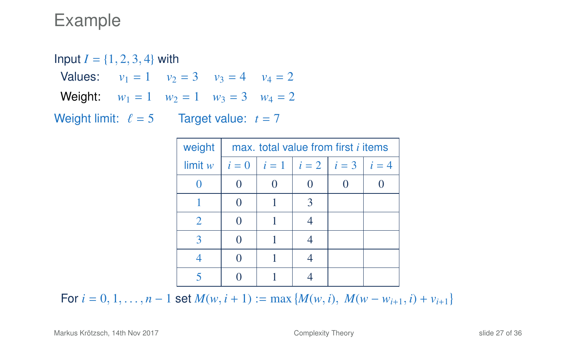Input  $I = \{1, 2, 3, 4\}$  with Values:  $v_1 = 1$   $v_2 = 3$   $v_3 = 4$   $v_4 = 2$ **Weight:**  $w_1 = 1$   $w_2 = 1$   $w_3 = 3$   $w_4 = 2$ Weight limit:  $\ell = 5$  Target value:  $t = 7$ 

| weight  | max, total value from first <i>i</i> items |  |                              |       |
|---------|--------------------------------------------|--|------------------------------|-------|
| limit w | $i=0$                                      |  | $\  i = 1 \  i = 2 \  i = 3$ | $i=4$ |
|         |                                            |  | 0                            |       |
|         |                                            |  | 3                            |       |
| 2       |                                            |  |                              |       |
| 3       |                                            |  |                              |       |
|         |                                            |  |                              |       |
|         |                                            |  |                              |       |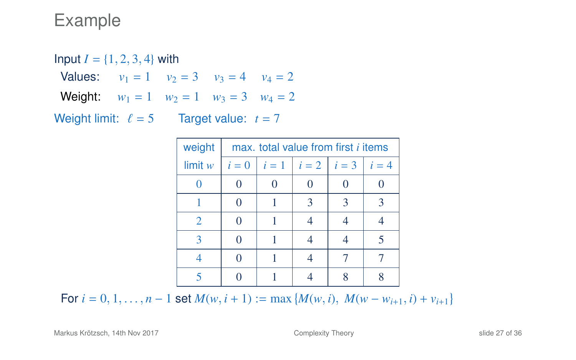Input  $I = \{1, 2, 3, 4\}$  with Values:  $v_1 = 1$   $v_2 = 3$   $v_3 = 4$   $v_4 = 2$ **Weight:**  $w_1 = 1$   $w_2 = 1$   $w_3 = 3$   $w_4 = 2$ Weight limit:  $\ell = 5$  Target value:  $t = 7$ 

| weight  |       | max, total value from first <i>i</i> items |   |      |
|---------|-------|--------------------------------------------|---|------|
| limit w | $i=0$ | $i=1$ $i=2$ $i=3$                          |   | $=4$ |
|         |       |                                            |   |      |
|         |       | 3                                          | 3 |      |
| 2       |       |                                            |   |      |
|         |       |                                            |   |      |
|         |       |                                            |   |      |
|         |       |                                            |   |      |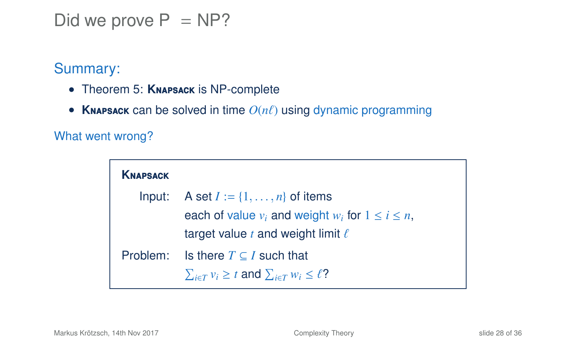Did we prove  $P = NP$ ?

Summary:

- Theorem [5:](#page-25-0) **K**napsack is NP-complete
- **KNAPSACK** can be solved in time  $O(n\ell)$  using dynamic programming

What went wrong?

| <b>KNAPSACK</b> |                                                                  |
|-----------------|------------------------------------------------------------------|
| Input:          | A set $I := \{1, \ldots, n\}$ of items                           |
|                 | each of value $v_i$ and weight $w_i$ for $1 \le i \le n$ ,       |
|                 | target value t and weight limit $\ell$                           |
| Problem:        | Is there $T \subseteq I$ such that                               |
|                 | $\sum_{i \in T} v_i \geq t$ and $\sum_{i \in T} w_i \leq \ell$ ? |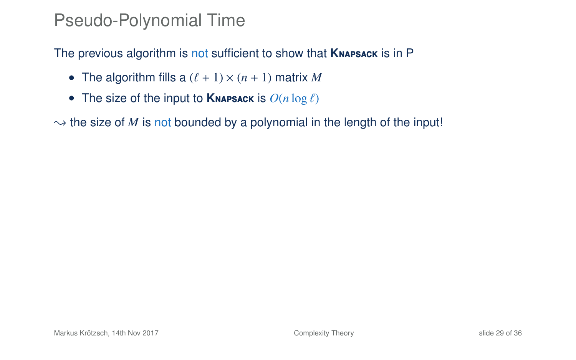#### Pseudo-Polynomial Time

The previous algorithm is not sufficient to show that **K**napsack is in P

- The algorithm fills a  $(\ell + 1) \times (n + 1)$  matrix M
- The size of the input to **KNAPSACK** is  $O(n \log \ell)$

 $\rightarrow$  the size of *M* is not bounded by a polynomial in the length of the input!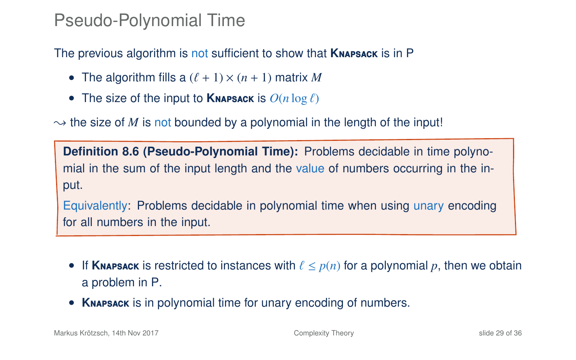#### Pseudo-Polynomial Time

The previous algorithm is not sufficient to show that **K**napsack is in P

- The algorithm fills a  $(\ell + 1) \times (n + 1)$  matrix M
- The size of the input to **KNAPSACK** is  $O(n \log \ell)$

 $\rightarrow$  the size of *M* is not bounded by a polynomial in the length of the input!

**Definition 8.6 (Pseudo-Polynomial Time):** Problems decidable in time polynomial in the sum of the input length and the value of numbers occurring in the input.

Equivalently: Problems decidable in polynomial time when using unary encoding for all numbers in the input.

- If **KNAPSACK** is restricted to instances with  $\ell \leq p(n)$  for a polynomial p, then we obtain a problem in P.
- **K**napsack is in polynomial time for unary encoding of numbers.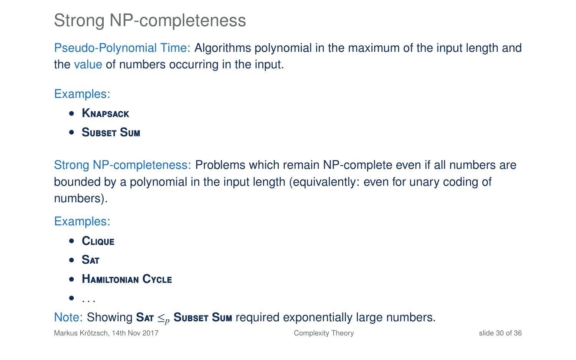### Strong NP-completeness

Pseudo-Polynomial Time: Algorithms polynomial in the maximum of the input length and the value of numbers occurring in the input.

Examples:

- **K**napsack
- **S**ubset **S**um

Strong NP-completeness: Problems which remain NP-complete even if all numbers are bounded by a polynomial in the input length (equivalently: even for unary coding of numbers).

#### Examples:

- **C**lique
- **S**at
- **H**amiltonian **C**ycle
- $\bullet$  . . .

#### Note: Showing **S**at ≤*<sup>p</sup>* **S**ubset **S**um required exponentially large numbers.

Markus Krötzsch, 14th Nov 2017 [Complexity Theory](#page-0-0) slide 30 of 36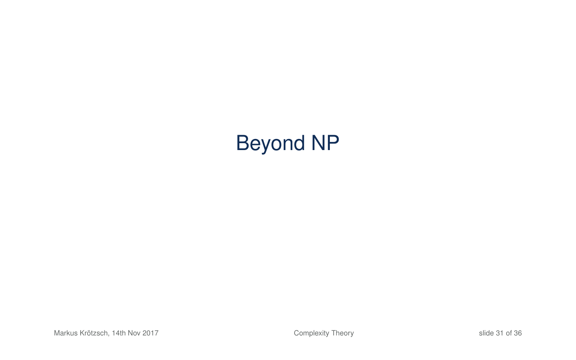# Beyond NP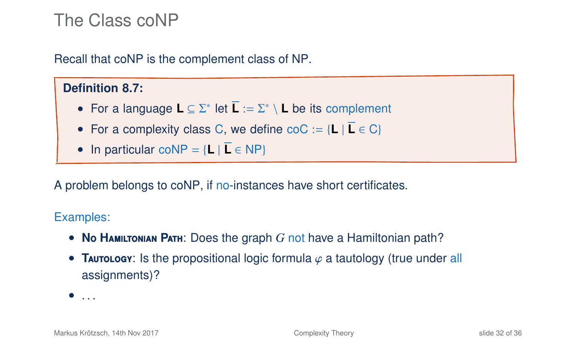### The Class coNP

Recall that coNP is the complement class of NP.

#### **Definition 8.7:**

- For a language **L** ⊆ Σ<sup>\*</sup> let **L** := Σ<sup>\*</sup> \ **L** be its complement
- For a complexity class C, we define  $\text{coC} := \{L \mid L \in C\}$
- In particular coNP =  ${L \mid L \in NP}$

A problem belongs to coNP, if no-instances have short certificates.

#### Examples:

- **N**o **H**amiltonian **P**ath: Does the graph *G* not have a Hamiltonian path?
- **Taurology:** Is the propositional logic formula  $\varphi$  a tautology (true under all assignments)?

 $\bullet$  ...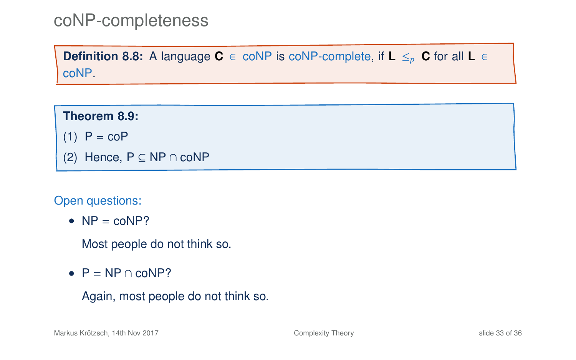#### coNP-completeness

**Definition 8.8:** A language **C** ∈ coNP is coNP-complete, if **L**  $\leq_p$  **C** for all **L** ∈ coNP.

**Theorem 8.9:**  $(1)$  P = coP (2) Hence, P ⊆ NP ∩ coNP

Open questions:

•  $NP = \text{coNP}$ ?

Most people do not think so.

•  $P = NP \cap coNP?$ 

```
Again, most people do not think so.
```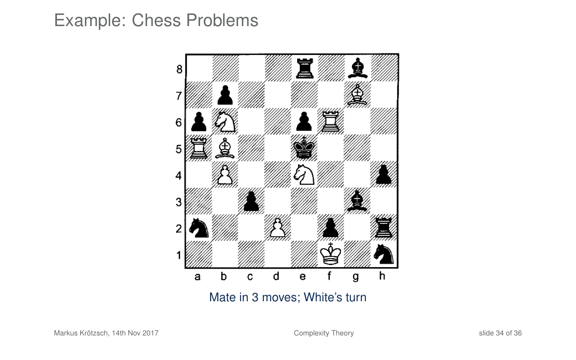### Example: Chess Problems

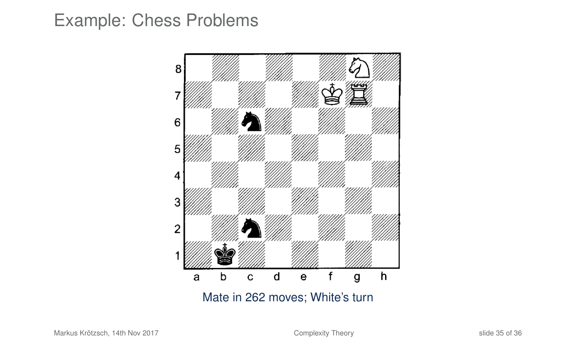#### Example: Chess Problems



Mate in 262 moves; White's turn